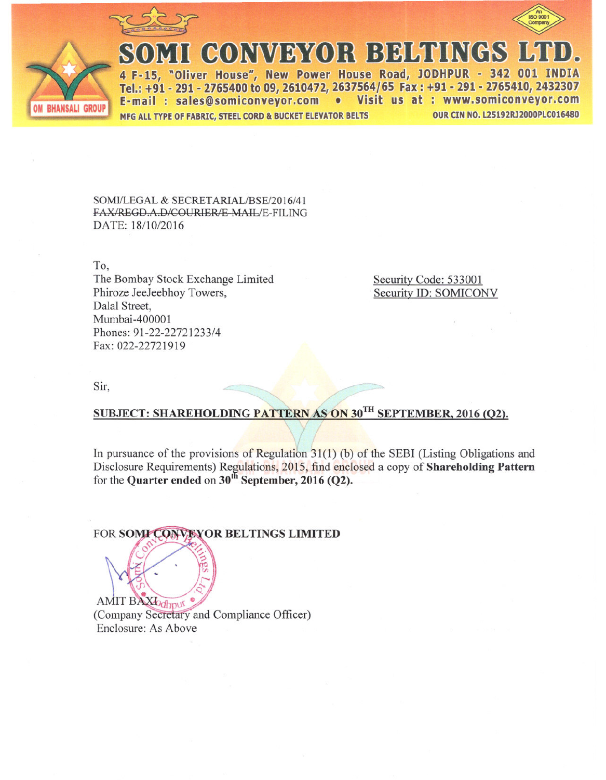



# MI CONVEYOR BELTINGS

4 F-15, "Oliver House", New Power House Road, JODHPUR - 342 001 IN Tel.: +91 - 291 - 2765400 to 09, 2610472, 2637564/65 Fax: +91 - 291 - 2765410, 2432307 E-mail: sales@somiconveyor.com . Visit us at: www.somiconveyor.com **OUR CIN NO. L25192RJ2000PLC016480** MFG ALL TYPE OF FABRIC, STEEL CORD & BUCKET ELEVATOR BELTS

SOMI/LEGAL & SECRETARIAL/BSE/2016/41 FAX/REGD.A.D/COURIER/E-MAIL/E-FILING DATE: 18/10/2016

To. The Bombay Stock Exchange Limited Phiroze JeeJeebhoy Towers, Dalal Street, Mumbai-400001 Phones: 91-22-22721233/4 Fax: 022-22721919

Security Code: 533001 Security ID: SOMICONV

Sir,

# SUBJECT: SHAREHOLDING PATTERN AS ON 30TH SEPTEMBER, 2016 (O2).

In pursuance of the provisions of Regulation  $31(1)$  (b) of the SEBI (Listing Obligations and Disclosure Requirements) Regulations, 2015, find enclosed a copy of Shareholding Pattern for the Quarter ended on 30<sup>th</sup> September, 2016 (Q2).

FOR SOMI CONVEYOR BELTINGS LIMITED

AMIT BAXIodhput (Company Secretary and Compliance Officer) Enclosure: As Above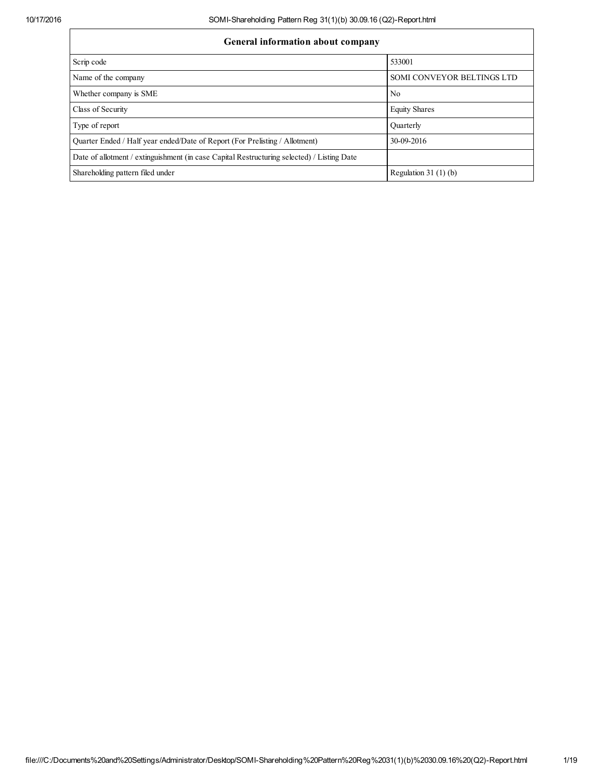# General information about company

| General information about company                                                          |                            |  |  |  |  |  |
|--------------------------------------------------------------------------------------------|----------------------------|--|--|--|--|--|
| Scrip code                                                                                 | 533001                     |  |  |  |  |  |
| Name of the company                                                                        | SOMI CONVEYOR BELTINGS LTD |  |  |  |  |  |
| Whether company is SME                                                                     | N <sub>0</sub>             |  |  |  |  |  |
| Class of Security                                                                          | <b>Equity Shares</b>       |  |  |  |  |  |
| Type of report                                                                             | Ouarterly                  |  |  |  |  |  |
| Quarter Ended / Half year ended/Date of Report (For Prelisting / Allotment)                | 30-09-2016                 |  |  |  |  |  |
| Date of allotment / extinguishment (in case Capital Restructuring selected) / Listing Date |                            |  |  |  |  |  |
| Shareholding pattern filed under                                                           | Regulation 31 $(1)(b)$     |  |  |  |  |  |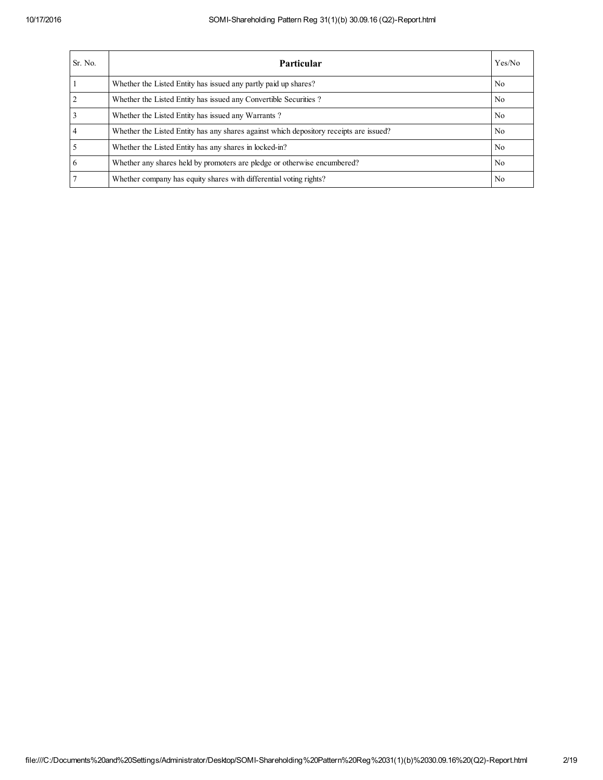| Sr. No. | Particular                                                                             | Yes/No         |
|---------|----------------------------------------------------------------------------------------|----------------|
|         | Whether the Listed Entity has issued any partly paid up shares?                        | No.            |
|         | Whether the Listed Entity has issued any Convertible Securities?                       | No.            |
|         | Whether the Listed Entity has issued any Warrants?                                     | N <sub>0</sub> |
|         | Whether the Listed Entity has any shares against which depository receipts are issued? | No.            |
|         | Whether the Listed Entity has any shares in locked-in?                                 | No.            |
| 6       | Whether any shares held by promoters are pledge or otherwise encumbered?               | No.            |
|         | Whether company has equity shares with differential voting rights?                     | N <sub>0</sub> |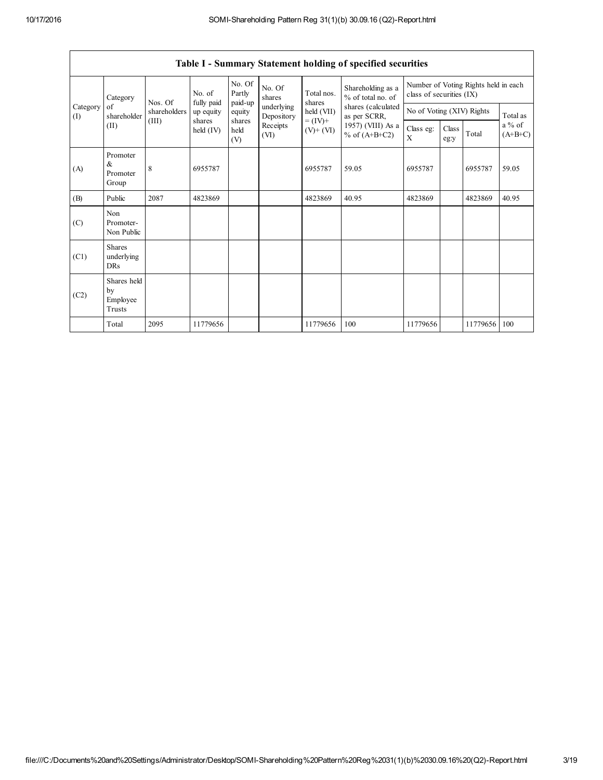|                 | Table I - Summary Statement holding of specified securities |              |                                                                                                    |                                      |                          |                      |                                        |                                                                  |  |          |          |
|-----------------|-------------------------------------------------------------|--------------|----------------------------------------------------------------------------------------------------|--------------------------------------|--------------------------|----------------------|----------------------------------------|------------------------------------------------------------------|--|----------|----------|
| Category        |                                                             | Nos. Of      | No. of<br>fully paid                                                                               | No. Of<br>Partly                     | No. Of<br>shares         | Total nos.<br>shares | Shareholding as a<br>% of total no. of | Number of Voting Rights held in each<br>class of securities (IX) |  |          |          |
| Category<br>(I) | of<br>shareholder                                           | shareholders | up equity                                                                                          | paid-up<br>equity                    | underlying<br>Depository | held (VII)           | shares (calculated<br>as per SCRR,     | No of Voting (XIV) Rights                                        |  |          | Total as |
|                 | (II)                                                        | (III)        | $= (IV) +$<br>shares<br>shares<br>Receipts<br>held $(IV)$<br>held<br>$(V)$ + $(VI)$<br>(VI)<br>(V) | 1957) (VIII) As a<br>% of $(A+B+C2)$ | Class eg:<br>X           | Class<br>eg:y        | Total                                  | $a\%$ of<br>$(A+B+C)$                                            |  |          |          |
| (A)             | Promoter<br>$\&$<br>Promoter<br>Group                       | 8            | 6955787                                                                                            |                                      |                          | 6955787              | 59.05                                  | 6955787                                                          |  | 6955787  | 59.05    |
| (B)             | Public                                                      | 2087         | 4823869                                                                                            |                                      |                          | 4823869              | 40.95                                  | 4823869                                                          |  | 4823869  | 40.95    |
| (C)             | Non<br>Promoter-<br>Non Public                              |              |                                                                                                    |                                      |                          |                      |                                        |                                                                  |  |          |          |
| (C1)            | <b>Shares</b><br>underlying<br>DRs                          |              |                                                                                                    |                                      |                          |                      |                                        |                                                                  |  |          |          |
| (C2)            | Shares held<br>by<br>Employee<br>Trusts                     |              |                                                                                                    |                                      |                          |                      |                                        |                                                                  |  |          |          |
|                 | Total                                                       | 2095         | 11779656                                                                                           |                                      |                          | 11779656             | 100                                    | 11779656                                                         |  | 11779656 | 100      |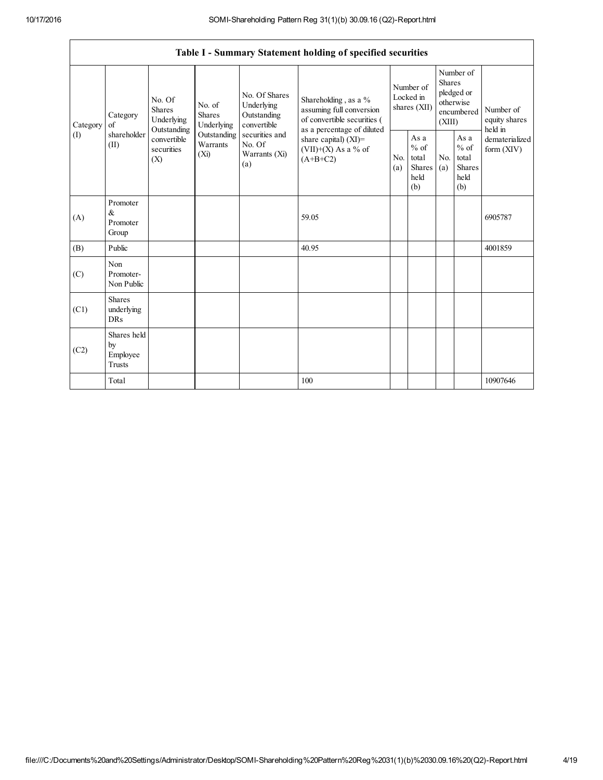$\mathsf{r}$ 

|                | Table I - Summary Statement holding of specified securities |                                                 |                                       |                                                           |                                                                                           |                                        |                                                         |                                                                               |                                                         |                                           |
|----------------|-------------------------------------------------------------|-------------------------------------------------|---------------------------------------|-----------------------------------------------------------|-------------------------------------------------------------------------------------------|----------------------------------------|---------------------------------------------------------|-------------------------------------------------------------------------------|---------------------------------------------------------|-------------------------------------------|
| Category<br>of | Category                                                    | No. Of<br>Shares<br>Underlying                  | No. of<br><b>Shares</b><br>Underlying | No. Of Shares<br>Underlying<br>Outstanding<br>convertible | Shareholding, as a %<br>assuming full conversion<br>of convertible securities (           | Number of<br>Locked in<br>shares (XII) |                                                         | Number of<br><b>Shares</b><br>pledged or<br>otherwise<br>encumbered<br>(XIII) |                                                         | Number of<br>equity shares                |
| (I)            | shareholder<br>(II)                                         | Outstanding<br>convertible<br>securities<br>(X) | Outstanding<br>Warrants<br>$(X_i)$    | securities and<br>No. Of<br>Warrants (Xi)<br>(a)          | as a percentage of diluted<br>share capital) (XI)=<br>$(VII)+(X)$ As a % of<br>$(A+B+C2)$ | N <sub>0</sub><br>(a)                  | As a<br>$%$ of<br>total<br><b>Shares</b><br>held<br>(b) | No.<br>(a)                                                                    | As a<br>$%$ of<br>total<br><b>Shares</b><br>held<br>(b) | held in<br>dematerialized<br>form $(XIV)$ |
| (A)            | Promoter<br>&<br>Promoter<br>Group                          |                                                 |                                       |                                                           | 59.05                                                                                     |                                        |                                                         |                                                                               |                                                         | 6905787                                   |
| (B)            | Public                                                      |                                                 |                                       |                                                           | 40.95                                                                                     |                                        |                                                         |                                                                               |                                                         | 4001859                                   |
| (C)            | Non<br>Promoter-<br>Non Public                              |                                                 |                                       |                                                           |                                                                                           |                                        |                                                         |                                                                               |                                                         |                                           |
| (C1)           | <b>Shares</b><br>underlying<br><b>DRs</b>                   |                                                 |                                       |                                                           |                                                                                           |                                        |                                                         |                                                                               |                                                         |                                           |
| (C2)           | Shares held<br>by<br>Employee<br><b>Trusts</b>              |                                                 |                                       |                                                           |                                                                                           |                                        |                                                         |                                                                               |                                                         |                                           |
|                | Total                                                       |                                                 |                                       |                                                           | 100                                                                                       |                                        |                                                         |                                                                               |                                                         | 10907646                                  |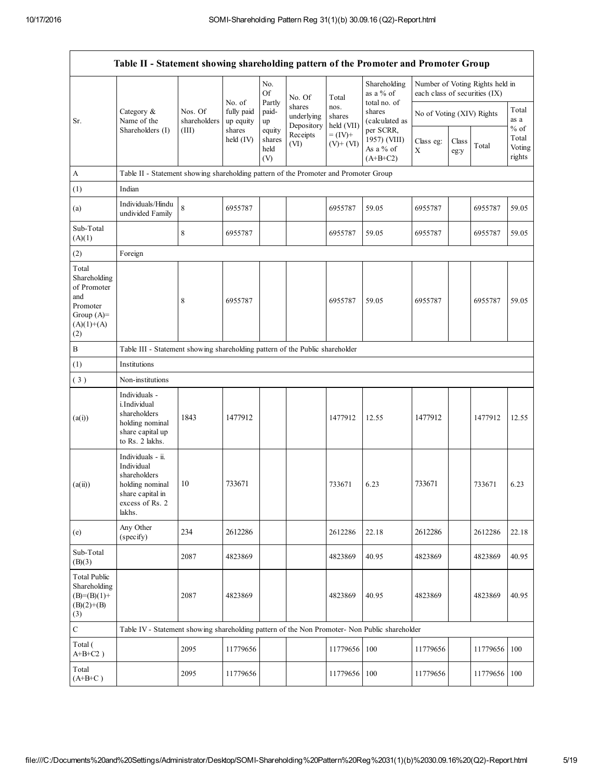|                                                                                                | Table II - Statement showing shareholding pattern of the Promoter and Promoter Group                                |                         |                                   |                                 |                                    |                              |                                                      |                               |               |                                 |                           |
|------------------------------------------------------------------------------------------------|---------------------------------------------------------------------------------------------------------------------|-------------------------|-----------------------------------|---------------------------------|------------------------------------|------------------------------|------------------------------------------------------|-------------------------------|---------------|---------------------------------|---------------------------|
|                                                                                                |                                                                                                                     |                         |                                   | No.<br><b>Of</b>                | No. Of                             | Total                        | Shareholding<br>as a % of                            | each class of securities (IX) |               | Number of Voting Rights held in |                           |
| Sr.                                                                                            | Category &<br>Name of the                                                                                           | Nos. Of<br>shareholders | No. of<br>fully paid<br>up equity | Partly<br>paid-<br>up           | shares<br>underlying<br>Depository | nos.<br>shares<br>held (VII) | total no. of<br>shares<br>(calculated as             | No of Voting (XIV) Rights     |               |                                 | Total<br>as a<br>$\%$ of  |
|                                                                                                | Shareholders (I)                                                                                                    | (III)                   | shares<br>held $(IV)$             | equity<br>shares<br>held<br>(V) | Receipts<br>(VI)                   | $= (IV) +$<br>$(V)+(VI)$     | per SCRR,<br>1957) (VIII)<br>As a % of<br>$(A+B+C2)$ | Class eg:<br>X                | Class<br>eg:y | Total                           | Total<br>Voting<br>rights |
| A                                                                                              | Table II - Statement showing shareholding pattern of the Promoter and Promoter Group                                |                         |                                   |                                 |                                    |                              |                                                      |                               |               |                                 |                           |
| (1)                                                                                            | Indian                                                                                                              |                         |                                   |                                 |                                    |                              |                                                      |                               |               |                                 |                           |
| (a)                                                                                            | Individuals/Hindu<br>undivided Family                                                                               | 8                       | 6955787                           |                                 |                                    | 6955787                      | 59.05                                                | 6955787                       |               | 6955787                         | 59.05                     |
| Sub-Total<br>(A)(1)                                                                            |                                                                                                                     | 8                       | 6955787                           |                                 |                                    | 6955787                      | 59.05                                                | 6955787                       |               | 6955787                         | 59.05                     |
| (2)                                                                                            | Foreign                                                                                                             |                         |                                   |                                 |                                    |                              |                                                      |                               |               |                                 |                           |
| Total<br>Shareholding<br>of Promoter<br>and<br>Promoter<br>Group $(A)=$<br>$(A)(1)+(A)$<br>(2) |                                                                                                                     | 8                       | 6955787                           |                                 |                                    | 6955787                      | 59.05                                                | 6955787                       |               | 6955787                         | 59.05                     |
| $\, {\bf B}$                                                                                   | Table III - Statement showing shareholding pattern of the Public shareholder                                        |                         |                                   |                                 |                                    |                              |                                                      |                               |               |                                 |                           |
| (1)                                                                                            | Institutions                                                                                                        |                         |                                   |                                 |                                    |                              |                                                      |                               |               |                                 |                           |
| (3)                                                                                            | Non-institutions                                                                                                    |                         |                                   |                                 |                                    |                              |                                                      |                               |               |                                 |                           |
| (a(i))                                                                                         | Individuals -<br>i.Individual<br>shareholders<br>holding nominal<br>share capital up<br>to Rs. 2 lakhs.             | 1843                    | 1477912                           |                                 |                                    | 1477912                      | 12.55                                                | 1477912                       |               | 1477912                         | 12.55                     |
| (a(ii))                                                                                        | Individuals - ii.<br>Individual<br>shareholders<br>holding nominal<br>share capital in<br>excess of Rs. 2<br>lakhs. | 10                      | 733671                            |                                 |                                    | 733671                       | 6.23                                                 | 733671                        |               | 733671                          | 6.23                      |
| (e)                                                                                            | Any Other<br>(specify)                                                                                              | 234                     | 2612286                           |                                 |                                    | 2612286                      | 22.18                                                | 2612286                       |               | 2612286                         | 22.18                     |
| Sub-Total<br>(B)(3)                                                                            |                                                                                                                     | 2087                    | 4823869                           |                                 |                                    | 4823869                      | 40.95                                                | 4823869                       |               | 4823869                         | 40.95                     |
| <b>Total Public</b><br>Shareholding<br>$(B)=(B)(1)+$<br>$(B)(2)+(B)$<br>(3)                    |                                                                                                                     | 2087                    | 4823869                           |                                 |                                    | 4823869                      | 40.95                                                | 4823869                       |               | 4823869                         | 40.95                     |
| $\mathbf C$                                                                                    | Table IV - Statement showing shareholding pattern of the Non Promoter- Non Public shareholder                       |                         |                                   |                                 |                                    |                              |                                                      |                               |               |                                 |                           |
| Total (<br>$A+B+C2$ )                                                                          |                                                                                                                     | 2095                    | 11779656                          |                                 |                                    | 11779656                     | 100                                                  | 11779656                      |               | 11779656                        | 100                       |
| Total<br>$(A+B+C)$                                                                             |                                                                                                                     | 2095                    | 11779656                          |                                 |                                    | 11779656 100                 |                                                      | 11779656                      |               | 11779656                        | 100                       |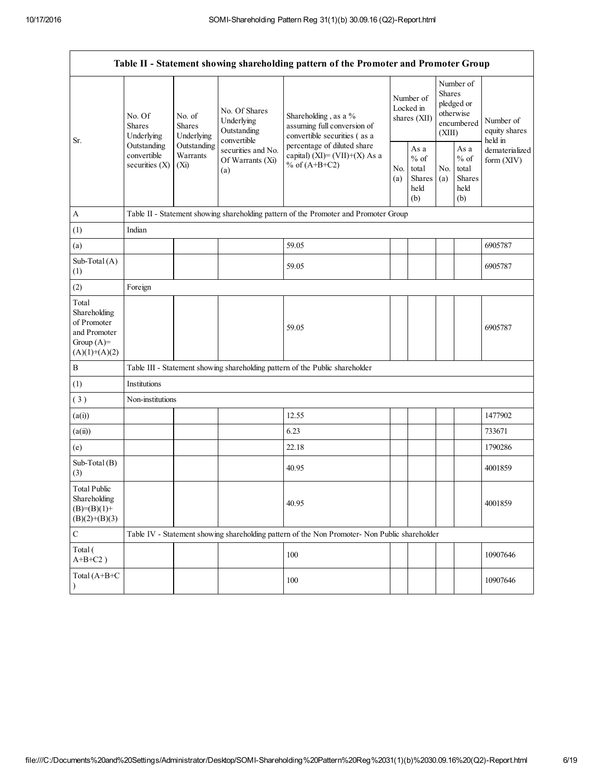|                                                                                                                                                                               |                                               |                                                                                    |                                                           | Table II - Statement showing shareholding pattern of the Promoter and Promoter Group          |            |                                                  |                              |                                                                        |                                       |
|-------------------------------------------------------------------------------------------------------------------------------------------------------------------------------|-----------------------------------------------|------------------------------------------------------------------------------------|-----------------------------------------------------------|-----------------------------------------------------------------------------------------------|------------|--------------------------------------------------|------------------------------|------------------------------------------------------------------------|---------------------------------------|
| No. Of<br>No. of<br><b>Shares</b><br><b>Shares</b><br>Underlying<br>Underlying<br>Sr.<br>Outstanding<br>Outstanding<br>Warrants<br>convertible<br>securities $(X)$<br>$(X_i)$ |                                               |                                                                                    | No. Of Shares<br>Underlying<br>Outstanding<br>convertible | Shareholding, as a %<br>assuming full conversion of<br>convertible securities (as a           |            | Number of<br>Locked in<br>shares (XII)           |                              | Number of<br>Shares<br>pledged or<br>otherwise<br>encumbered<br>(XIII) | Number of<br>equity shares<br>held in |
|                                                                                                                                                                               | securities and No.<br>Of Warrants (Xi)<br>(a) | percentage of diluted share<br>capital) $(XI) = (VII)+(X) As a$<br>% of $(A+B+C2)$ |                                                           | As a<br>$%$ of<br>total<br>Shares<br>held<br>(b)                                              | No.<br>(a) | As a<br>$%$ of<br>total<br>Shares<br>held<br>(b) | dematerialized<br>form (XIV) |                                                                        |                                       |
| $\mathbf{A}$                                                                                                                                                                  |                                               |                                                                                    |                                                           | Table II - Statement showing shareholding pattern of the Promoter and Promoter Group          |            |                                                  |                              |                                                                        |                                       |
| (1)                                                                                                                                                                           | Indian                                        |                                                                                    |                                                           |                                                                                               |            |                                                  |                              |                                                                        |                                       |
| (a)                                                                                                                                                                           |                                               |                                                                                    |                                                           | 59.05                                                                                         |            |                                                  |                              |                                                                        | 6905787                               |
| Sub-Total (A)<br>(1)                                                                                                                                                          |                                               |                                                                                    |                                                           | 59.05                                                                                         |            |                                                  |                              |                                                                        | 6905787                               |
| (2)                                                                                                                                                                           | Foreign                                       |                                                                                    |                                                           |                                                                                               |            |                                                  |                              |                                                                        |                                       |
| Total<br>Shareholding<br>of Promoter<br>and Promoter<br>Group $(A)=$<br>$(A)(1)+(A)(2)$                                                                                       |                                               |                                                                                    |                                                           | 59.05                                                                                         |            |                                                  |                              |                                                                        | 6905787                               |
| $\, {\bf B}$                                                                                                                                                                  |                                               |                                                                                    |                                                           | Table III - Statement showing shareholding pattern of the Public shareholder                  |            |                                                  |                              |                                                                        |                                       |
| (1)                                                                                                                                                                           | Institutions                                  |                                                                                    |                                                           |                                                                                               |            |                                                  |                              |                                                                        |                                       |
| (3)                                                                                                                                                                           | Non-institutions                              |                                                                                    |                                                           |                                                                                               |            |                                                  |                              |                                                                        |                                       |
| (a(i))                                                                                                                                                                        |                                               |                                                                                    |                                                           | 12.55                                                                                         |            |                                                  |                              |                                                                        | 1477902                               |
| (a(ii))                                                                                                                                                                       |                                               |                                                                                    |                                                           | 6.23                                                                                          |            |                                                  |                              |                                                                        | 733671                                |
| (e)                                                                                                                                                                           |                                               |                                                                                    |                                                           | 22.18                                                                                         |            |                                                  |                              |                                                                        | 1790286                               |
| Sub-Total (B)<br>(3)                                                                                                                                                          |                                               |                                                                                    |                                                           | 40.95                                                                                         |            |                                                  |                              |                                                                        | 4001859                               |
| <b>Total Public</b><br>Shareholding<br>$(B)= (B)(1) +$<br>$(B)(2)+(B)(3)$                                                                                                     |                                               |                                                                                    |                                                           | 40.95                                                                                         |            |                                                  |                              |                                                                        | 4001859                               |
| $\mathbf C$                                                                                                                                                                   |                                               |                                                                                    |                                                           | Table IV - Statement showing shareholding pattern of the Non Promoter- Non Public shareholder |            |                                                  |                              |                                                                        |                                       |
| Total (<br>$A+B+C2$ )                                                                                                                                                         |                                               |                                                                                    |                                                           | 100                                                                                           |            |                                                  |                              |                                                                        | 10907646                              |
| Total (A+B+C                                                                                                                                                                  |                                               |                                                                                    |                                                           | 100                                                                                           |            |                                                  |                              |                                                                        | 10907646                              |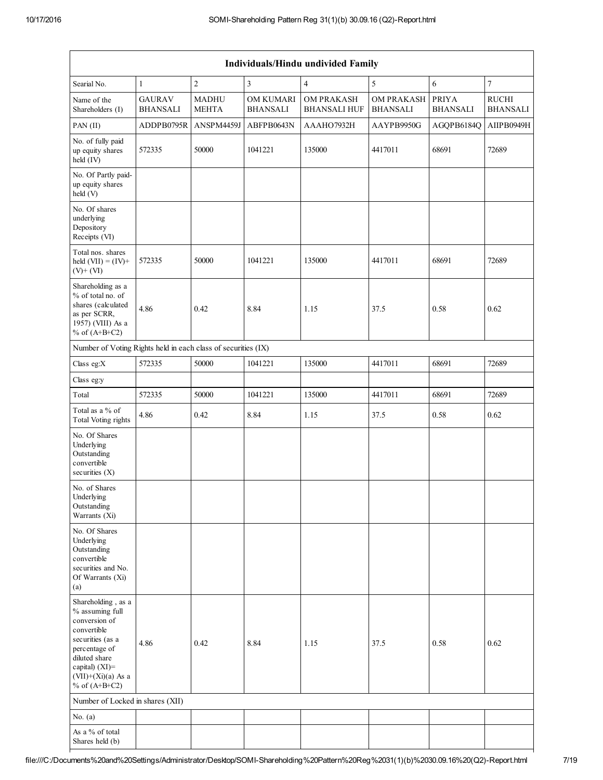|                                                                                                                                                                                          | Individuals/Hindu undivided Family |                              |                              |                                          |                                      |                                 |                                 |  |
|------------------------------------------------------------------------------------------------------------------------------------------------------------------------------------------|------------------------------------|------------------------------|------------------------------|------------------------------------------|--------------------------------------|---------------------------------|---------------------------------|--|
| Searial No.                                                                                                                                                                              | $\mathbf{1}$                       | $\overline{c}$               | $\mathfrak{Z}$               | $\overline{4}$                           | 5                                    | $\sqrt{6}$                      | $\tau$                          |  |
| Name of the<br>Shareholders (I)                                                                                                                                                          | <b>GAURAV</b><br><b>BHANSALI</b>   | <b>MADHU</b><br><b>MEHTA</b> | OM KUMARI<br><b>BHANSALI</b> | <b>OM PRAKASH</b><br><b>BHANSALI HUF</b> | <b>OM PRAKASH</b><br><b>BHANSALI</b> | <b>PRIYA</b><br><b>BHANSALI</b> | <b>RUCHI</b><br><b>BHANSALI</b> |  |
| PAN (II)                                                                                                                                                                                 | ADDPB0795R                         | ANSPM4459J                   | ABFPB0643N                   | AAAHO7932H                               | AAYPB9950G                           | AGQPB6184Q                      | AIIPB0949H                      |  |
| No. of fully paid<br>up equity shares<br>held (IV)                                                                                                                                       | 572335                             | 50000                        | 1041221                      | 135000                                   | 4417011                              | 68691                           | 72689                           |  |
| No. Of Partly paid-<br>up equity shares<br>held (V)                                                                                                                                      |                                    |                              |                              |                                          |                                      |                                 |                                 |  |
| No. Of shares<br>underlying<br>Depository<br>Receipts (VI)                                                                                                                               |                                    |                              |                              |                                          |                                      |                                 |                                 |  |
| Total nos. shares<br>held $(VII) = (IV) +$<br>$(V)$ + $(VI)$                                                                                                                             | 572335                             | 50000                        | 1041221                      | 135000                                   | 4417011                              | 68691                           | 72689                           |  |
| Shareholding as a<br>% of total no. of<br>shares (calculated<br>as per SCRR,<br>1957) (VIII) As a<br>% of $(A+B+C2)$                                                                     | 4.86                               | 0.42                         | 8.84                         | 1.15                                     | 37.5                                 | 0.58                            | 0.62                            |  |
| Number of Voting Rights held in each class of securities (IX)                                                                                                                            |                                    |                              |                              |                                          |                                      |                                 |                                 |  |
| Class eg:X                                                                                                                                                                               | 572335                             | 50000                        | 1041221                      | 135000                                   | 4417011                              | 68691                           | 72689                           |  |
| Class eg:y                                                                                                                                                                               |                                    |                              |                              |                                          |                                      |                                 |                                 |  |
| Total                                                                                                                                                                                    | 572335                             | 50000                        | 1041221                      | 135000                                   | 4417011                              | 68691                           | 72689                           |  |
| Total as a % of<br><b>Total Voting rights</b>                                                                                                                                            | 4.86                               | 0.42                         | 8.84                         | 1.15                                     | 37.5                                 | 0.58                            | 0.62                            |  |
| No. Of Shares<br>Underlying<br>Outstanding<br>convertible<br>securities $(X)$                                                                                                            |                                    |                              |                              |                                          |                                      |                                 |                                 |  |
| No. of Shares<br>Underlying<br>Outstanding<br>Warrants (Xi)                                                                                                                              |                                    |                              |                              |                                          |                                      |                                 |                                 |  |
| No. Of Shares<br>Underlying<br>Outstanding<br>convertible<br>securities and No.<br>Of Warrants (Xi)<br>(a)                                                                               |                                    |                              |                              |                                          |                                      |                                 |                                 |  |
| Shareholding, as a<br>% assuming full<br>conversion of<br>convertible<br>securities (as a<br>percentage of<br>diluted share<br>capital) (XI)=<br>$(VII)+(Xi)(a)$ As a<br>% of $(A+B+C2)$ | 4.86                               | 0.42                         | 8.84                         | 1.15                                     | 37.5                                 | 0.58                            | 0.62                            |  |
| Number of Locked in shares (XII)                                                                                                                                                         |                                    |                              |                              |                                          |                                      |                                 |                                 |  |
| No. $(a)$                                                                                                                                                                                |                                    |                              |                              |                                          |                                      |                                 |                                 |  |
| As a % of total<br>Shares held (b)                                                                                                                                                       |                                    |                              |                              |                                          |                                      |                                 |                                 |  |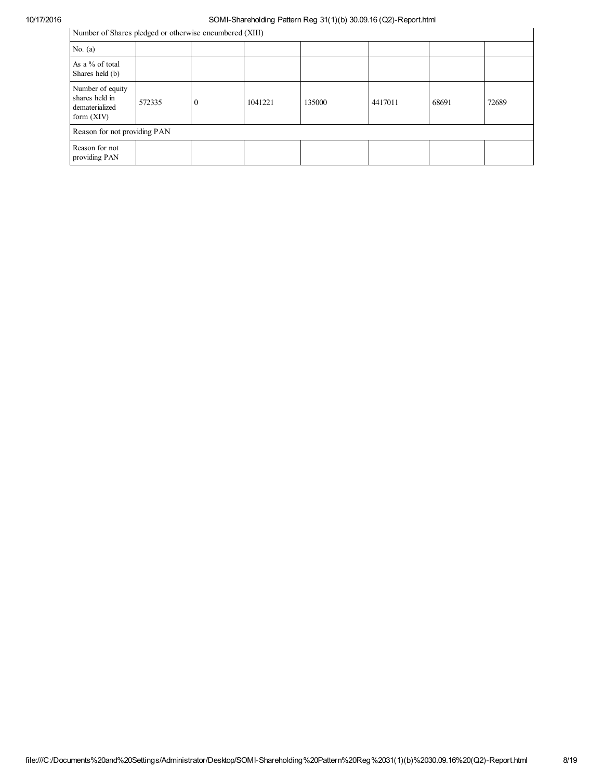Number of Shares pledged or otherwise encumbered (XIII)

| Number of Shares pledged or otherwise encumbered (XIII)              |        |          |         |        |         |       |       |
|----------------------------------------------------------------------|--------|----------|---------|--------|---------|-------|-------|
| No. $(a)$                                                            |        |          |         |        |         |       |       |
| As a % of total<br>Shares held (b)                                   |        |          |         |        |         |       |       |
| Number of equity<br>shares held in<br>dematerialized<br>form $(XIV)$ | 572335 | $\theta$ | 1041221 | 135000 | 4417011 | 68691 | 72689 |
| Reason for not providing PAN                                         |        |          |         |        |         |       |       |
| Reason for not<br>providing PAN                                      |        |          |         |        |         |       |       |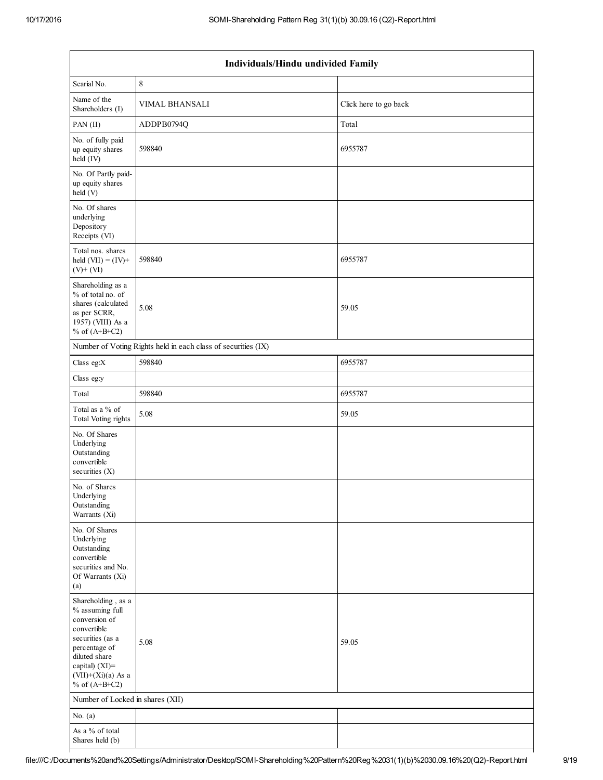| Individuals/Hindu undivided Family                                                                                                                                                       |                                                               |                       |  |  |  |
|------------------------------------------------------------------------------------------------------------------------------------------------------------------------------------------|---------------------------------------------------------------|-----------------------|--|--|--|
| Searial No.                                                                                                                                                                              | 8                                                             |                       |  |  |  |
| Name of the<br>Shareholders (I)                                                                                                                                                          | <b>VIMAL BHANSALI</b>                                         | Click here to go back |  |  |  |
| PAN (II)                                                                                                                                                                                 | ADDPB0794Q                                                    | Total                 |  |  |  |
| No. of fully paid<br>up equity shares<br>held (IV)                                                                                                                                       | 598840                                                        | 6955787               |  |  |  |
| No. Of Partly paid-<br>up equity shares<br>held (V)                                                                                                                                      |                                                               |                       |  |  |  |
| No. Of shares<br>underlying<br>Depository<br>Receipts (VI)                                                                                                                               |                                                               |                       |  |  |  |
| Total nos. shares<br>held $(VII) = (IV) +$<br>$(V)$ + $(VI)$                                                                                                                             | 598840                                                        | 6955787               |  |  |  |
| Shareholding as a<br>% of total no. of<br>shares (calculated<br>as per SCRR,<br>1957) (VIII) As a<br>% of $(A+B+C2)$                                                                     | 5.08                                                          | 59.05                 |  |  |  |
|                                                                                                                                                                                          | Number of Voting Rights held in each class of securities (IX) |                       |  |  |  |
| Class eg:X                                                                                                                                                                               | 598840                                                        | 6955787               |  |  |  |
| Class eg:y                                                                                                                                                                               |                                                               |                       |  |  |  |
| Total                                                                                                                                                                                    | 598840                                                        | 6955787               |  |  |  |
| Total as a % of<br><b>Total Voting rights</b>                                                                                                                                            | 5.08                                                          | 59.05                 |  |  |  |
| No. Of Shares<br>Underlying<br>Outstanding<br>convertible<br>securities $(X)$                                                                                                            |                                                               |                       |  |  |  |
| No. of Shares<br>Underlying<br>Outstanding<br>Warrants (Xi)                                                                                                                              |                                                               |                       |  |  |  |
| No. Of Shares<br>Underlying<br>Outstanding<br>convertible<br>securities and No.<br>Of Warrants (Xi)<br>(a)                                                                               |                                                               |                       |  |  |  |
| Shareholding, as a<br>% assuming full<br>conversion of<br>convertible<br>securities (as a<br>percentage of<br>diluted share<br>capital) (XI)=<br>$(VII)+(Xi)(a)$ As a<br>% of $(A+B+C2)$ | 5.08                                                          | 59.05                 |  |  |  |
| Number of Locked in shares (XII)                                                                                                                                                         |                                                               |                       |  |  |  |
| No. $(a)$                                                                                                                                                                                |                                                               |                       |  |  |  |
| As a % of total<br>Shares held (b)                                                                                                                                                       |                                                               |                       |  |  |  |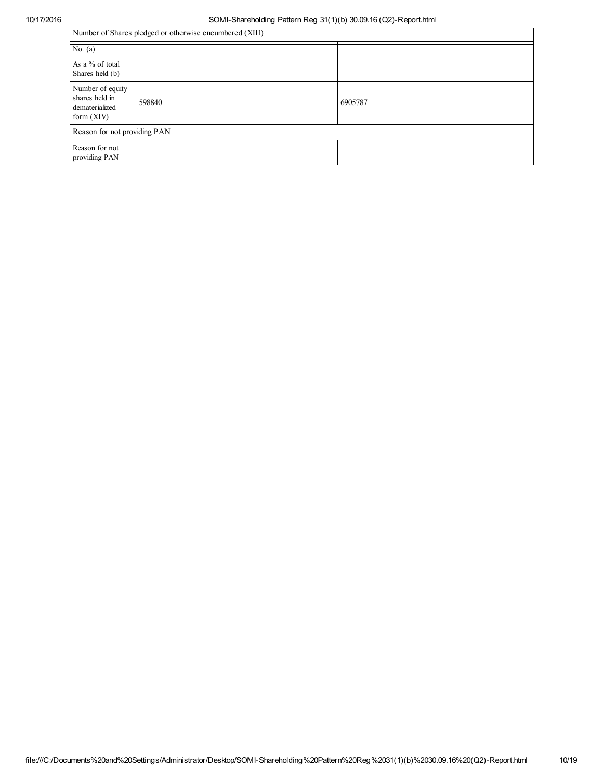Number of Shares pledged or otherwise encumbered (XIII)

| Number of Shares pledged or otherwise encumbered (XIII)              |        |         |  |  |  |
|----------------------------------------------------------------------|--------|---------|--|--|--|
| No. $(a)$                                                            |        |         |  |  |  |
| As a % of total<br>Shares held (b)                                   |        |         |  |  |  |
| Number of equity<br>shares held in<br>dematerialized<br>form $(XIV)$ | 598840 | 6905787 |  |  |  |
| Reason for not providing PAN                                         |        |         |  |  |  |
| Reason for not<br>providing PAN                                      |        |         |  |  |  |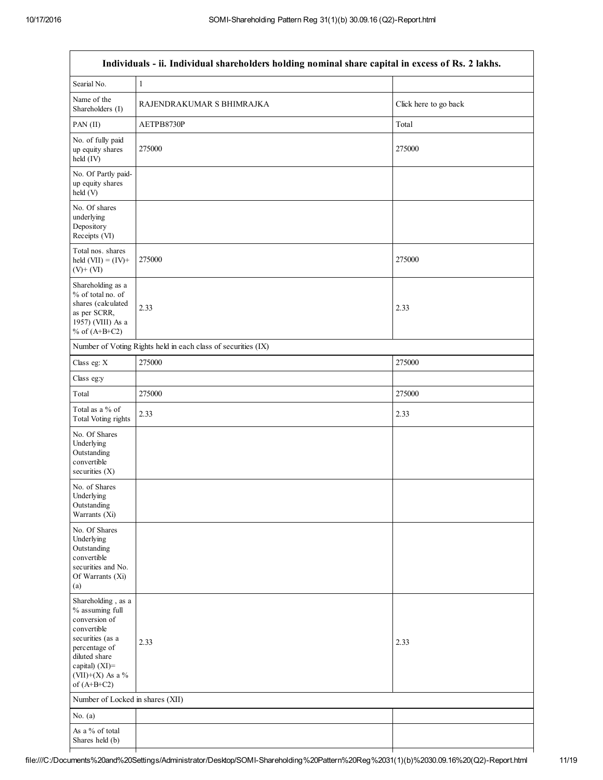| Individuals - ii. Individual shareholders holding nominal share capital in excess of Rs. 2 lakhs.                                                                                  |                                                               |                       |  |  |  |  |
|------------------------------------------------------------------------------------------------------------------------------------------------------------------------------------|---------------------------------------------------------------|-----------------------|--|--|--|--|
| Searial No.                                                                                                                                                                        | $\mathbf{1}$                                                  |                       |  |  |  |  |
| Name of the<br>Shareholders (I)                                                                                                                                                    | RAJENDRAKUMAR S BHIMRAJKA                                     | Click here to go back |  |  |  |  |
| PAN (II)                                                                                                                                                                           | AETPB8730P                                                    | Total                 |  |  |  |  |
| No. of fully paid<br>up equity shares<br>held (IV)                                                                                                                                 | 275000                                                        | 275000                |  |  |  |  |
| No. Of Partly paid-<br>up equity shares<br>held (V)                                                                                                                                |                                                               |                       |  |  |  |  |
| No. Of shares<br>underlying<br>Depository<br>Receipts (VI)                                                                                                                         |                                                               |                       |  |  |  |  |
| Total nos. shares<br>held $(VII) = (IV) +$<br>$(V)$ + $(VI)$                                                                                                                       | 275000                                                        | 275000                |  |  |  |  |
| Shareholding as a<br>% of total no. of<br>shares (calculated<br>as per SCRR,<br>1957) (VIII) As a<br>% of $(A+B+C2)$                                                               | 2.33                                                          | 2.33                  |  |  |  |  |
|                                                                                                                                                                                    | Number of Voting Rights held in each class of securities (IX) |                       |  |  |  |  |
| Class eg: X                                                                                                                                                                        | 275000                                                        | 275000                |  |  |  |  |
| Class eg:y                                                                                                                                                                         |                                                               |                       |  |  |  |  |
| Total                                                                                                                                                                              | 275000                                                        | 275000                |  |  |  |  |
| Total as a % of<br><b>Total Voting rights</b>                                                                                                                                      | 2.33                                                          | 2.33                  |  |  |  |  |
| No. Of Shares<br>Underlying<br>Outstanding<br>convertible<br>securities $(X)$                                                                                                      |                                                               |                       |  |  |  |  |
| No. of Shares<br>Underlying<br>Outstanding<br>Warrants (Xi)                                                                                                                        |                                                               |                       |  |  |  |  |
| No. Of Shares<br>Underlying<br>Outstanding<br>convertible<br>securities and No.<br>Of Warrants (Xi)<br>(a)                                                                         |                                                               |                       |  |  |  |  |
| Shareholding, as a<br>% assuming full<br>conversion of<br>convertible<br>securities (as a<br>percentage of<br>diluted share<br>capital) (XI)=<br>(VII)+(X) As a %<br>of $(A+B+C2)$ | 2.33                                                          | 2.33                  |  |  |  |  |
| Number of Locked in shares (XII)                                                                                                                                                   |                                                               |                       |  |  |  |  |
| No. $(a)$                                                                                                                                                                          |                                                               |                       |  |  |  |  |
| As a % of total<br>Shares held (b)                                                                                                                                                 |                                                               |                       |  |  |  |  |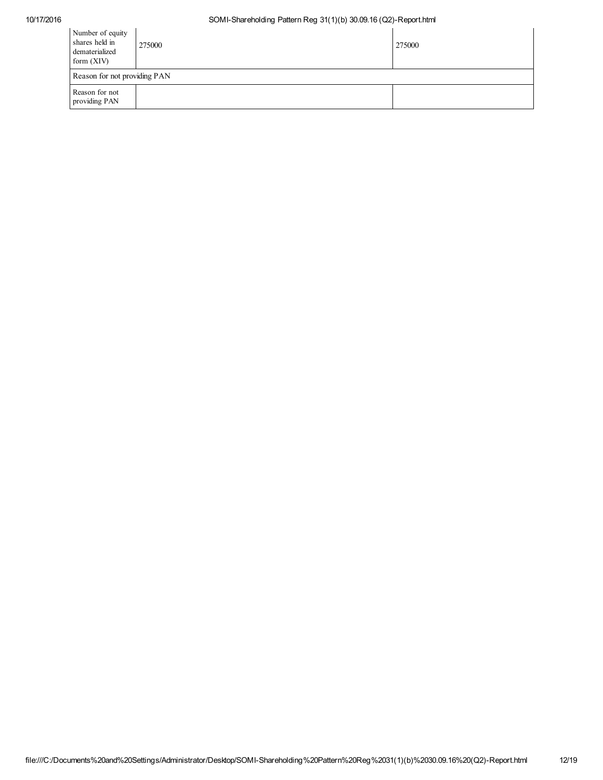| Number of equity<br>shares held in<br>dematerialized<br>form $(XIV)$ | 275000                       | 275000 |  |  |  |  |
|----------------------------------------------------------------------|------------------------------|--------|--|--|--|--|
|                                                                      | Reason for not providing PAN |        |  |  |  |  |
| Reason for not<br>providing PAN                                      |                              |        |  |  |  |  |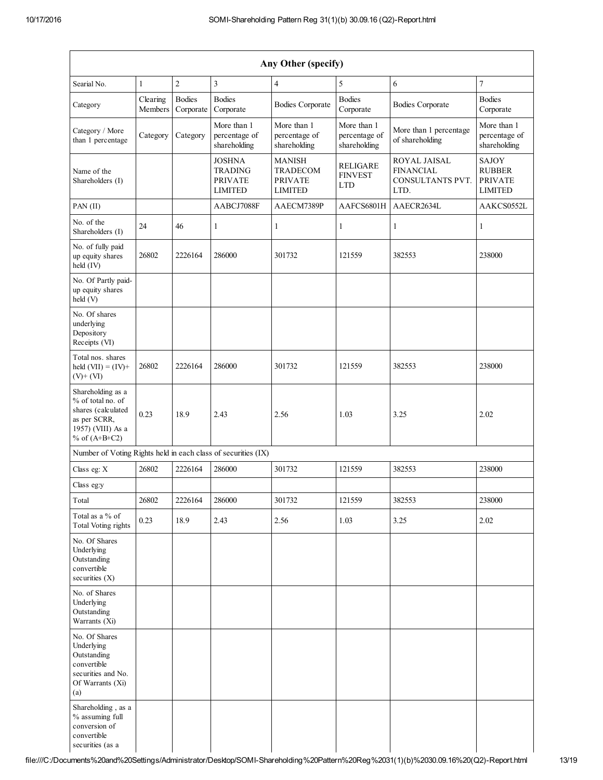| Any Other (specify)                                                                                                  |                     |                            |                                                                     |                                                                      |                                                 |                                                              |                                                            |
|----------------------------------------------------------------------------------------------------------------------|---------------------|----------------------------|---------------------------------------------------------------------|----------------------------------------------------------------------|-------------------------------------------------|--------------------------------------------------------------|------------------------------------------------------------|
| Searial No.                                                                                                          | $\mathbf{1}$        | $\overline{2}$             | $\overline{3}$                                                      | $\overline{4}$                                                       | 5                                               | 6                                                            | $\overline{7}$                                             |
| Category                                                                                                             | Clearing<br>Members | <b>Bodies</b><br>Corporate | <b>Bodies</b><br>Corporate                                          | <b>Bodies Corporate</b>                                              | <b>Bodies</b><br>Corporate                      | <b>Bodies Corporate</b>                                      | <b>Bodies</b><br>Corporate                                 |
| Category / More<br>than 1 percentage                                                                                 | Category            | Category                   | More than 1<br>percentage of<br>shareholding                        | More than 1<br>percentage of<br>shareholding                         | More than 1<br>percentage of<br>shareholding    | More than 1 percentage<br>of shareholding                    | More than 1<br>percentage of<br>shareholding               |
| Name of the<br>Shareholders (I)                                                                                      |                     |                            | <b>JOSHNA</b><br><b>TRADING</b><br><b>PRIVATE</b><br><b>LIMITED</b> | <b>MANISH</b><br><b>TRADECOM</b><br><b>PRIVATE</b><br><b>LIMITED</b> | <b>RELIGARE</b><br><b>FINVEST</b><br><b>LTD</b> | ROYAL JAISAL<br><b>FINANCIAL</b><br>CONSULTANTS PVT.<br>LTD. | SAJOY<br><b>RUBBER</b><br><b>PRIVATE</b><br><b>LIMITED</b> |
| PAN(II)                                                                                                              |                     |                            | AABCJ7088F                                                          | AAECM7389P                                                           | AAFCS6801H                                      | AAECR2634L                                                   | AAKCS0552L                                                 |
| No. of the<br>Shareholders (I)                                                                                       | 24                  | 46                         | $\mathbf{1}$                                                        | 1                                                                    | $\mathbf{1}$                                    | $\mathbf{1}$                                                 | 1                                                          |
| No. of fully paid<br>up equity shares<br>held (IV)                                                                   | 26802               | 2226164                    | 286000                                                              | 301732                                                               | 121559                                          | 382553                                                       | 238000                                                     |
| No. Of Partly paid-<br>up equity shares<br>held (V)                                                                  |                     |                            |                                                                     |                                                                      |                                                 |                                                              |                                                            |
| No. Of shares<br>underlying<br>Depository<br>Receipts (VI)                                                           |                     |                            |                                                                     |                                                                      |                                                 |                                                              |                                                            |
| Total nos. shares<br>held $(VII) = (IV) +$<br>$(V)$ + $(VI)$                                                         | 26802               | 2226164                    | 286000                                                              | 301732                                                               | 121559                                          | 382553                                                       | 238000                                                     |
| Shareholding as a<br>% of total no. of<br>shares (calculated<br>as per SCRR,<br>1957) (VIII) As a<br>% of $(A+B+C2)$ | 0.23                | 18.9                       | 2.43                                                                | 2.56                                                                 | 1.03                                            | 3.25                                                         | 2.02                                                       |
| Number of Voting Rights held in each class of securities (IX)                                                        |                     |                            |                                                                     |                                                                      |                                                 |                                                              |                                                            |
| Class eg: X                                                                                                          | 26802               | 2226164                    | 286000                                                              | 301732                                                               | 121559                                          | 382553                                                       | 238000                                                     |
| Class eg:y                                                                                                           |                     |                            |                                                                     |                                                                      |                                                 |                                                              |                                                            |
| Total                                                                                                                | 26802               | 2226164                    | 286000                                                              | 301732                                                               | 121559                                          | 382553                                                       | 238000                                                     |
| Total as a % of<br><b>Total Voting rights</b>                                                                        | 0.23                | 18.9                       | 2.43                                                                | 2.56                                                                 | 1.03                                            | 3.25                                                         | 2.02                                                       |
| No. Of Shares<br>Underlying<br>Outstanding<br>convertible<br>securities $(X)$                                        |                     |                            |                                                                     |                                                                      |                                                 |                                                              |                                                            |
| No. of Shares<br>Underlying<br>Outstanding<br>Warrants (Xi)                                                          |                     |                            |                                                                     |                                                                      |                                                 |                                                              |                                                            |
| No. Of Shares<br>Underlying<br>Outstanding<br>convertible<br>securities and No.<br>Of Warrants (Xi)<br>(a)           |                     |                            |                                                                     |                                                                      |                                                 |                                                              |                                                            |
| Shareholding, as a<br>% assuming full<br>conversion of<br>convertible<br>securities (as a                            |                     |                            |                                                                     |                                                                      |                                                 |                                                              |                                                            |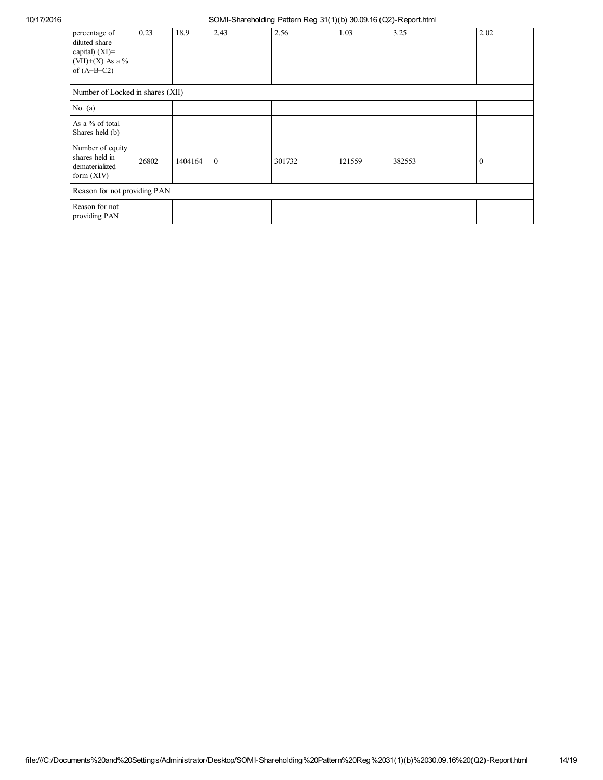| percentage of<br>diluted share<br>capital) $(XI)$ =<br>(VII)+(X) As a $\%$<br>of $(A+B+C2)$ | 0.23  | 18.9    | 2.43     | 2.56   | 1.03   | 3.25   | 2.02         |
|---------------------------------------------------------------------------------------------|-------|---------|----------|--------|--------|--------|--------------|
| Number of Locked in shares (XII)                                                            |       |         |          |        |        |        |              |
| No. $(a)$                                                                                   |       |         |          |        |        |        |              |
| As a % of total<br>Shares held (b)                                                          |       |         |          |        |        |        |              |
| Number of equity<br>shares held in<br>dematerialized<br>form $(XIV)$                        | 26802 | 1404164 | $\theta$ | 301732 | 121559 | 382553 | $\mathbf{0}$ |
| Reason for not providing PAN                                                                |       |         |          |        |        |        |              |
| Reason for not<br>providing PAN                                                             |       |         |          |        |        |        |              |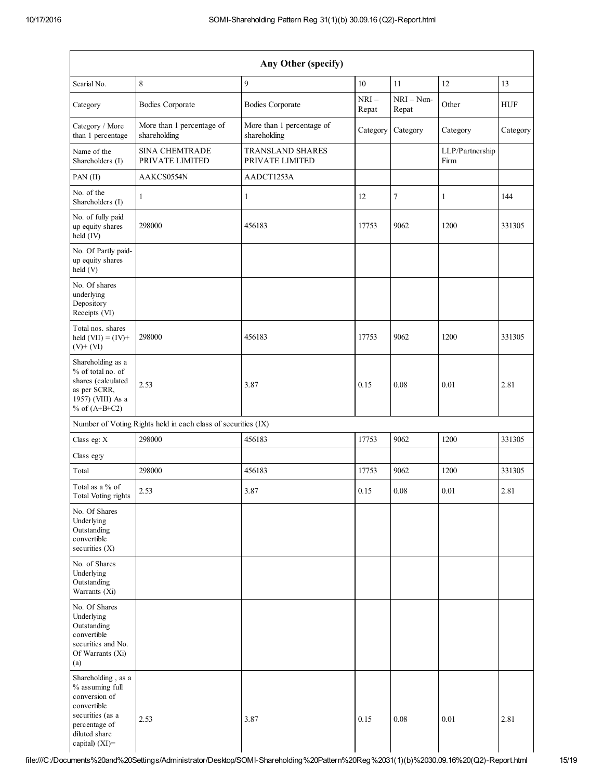| Any Other (specify)                                                                                                                              |                                                               |                                           |                 |                       |                         |            |
|--------------------------------------------------------------------------------------------------------------------------------------------------|---------------------------------------------------------------|-------------------------------------------|-----------------|-----------------------|-------------------------|------------|
| Searial No.                                                                                                                                      | $\,8\,$                                                       | 9                                         | 10              | 11                    | 12                      | 13         |
| Category                                                                                                                                         | <b>Bodies Corporate</b>                                       | <b>Bodies Corporate</b>                   | $NRI-$<br>Repat | $NRI - Non-$<br>Repat | Other                   | <b>HUF</b> |
| Category / More<br>than 1 percentage                                                                                                             | More than 1 percentage of<br>shareholding                     | More than 1 percentage of<br>shareholding | Category        | Category              | Category                | Category   |
| Name of the<br>Shareholders (I)                                                                                                                  | <b>SINA CHEMTRADE</b><br>PRIVATE LIMITED                      | TRANSLAND SHARES<br>PRIVATE LIMITED       |                 |                       | LLP/Partnership<br>Firm |            |
| PAN (II)                                                                                                                                         | AAKCS0554N                                                    | AADCT1253A                                |                 |                       |                         |            |
| No. of the<br>Shareholders (I)                                                                                                                   | 1                                                             | $\mathbf{1}$                              | 12              | 7                     | 1                       | 144        |
| No. of fully paid<br>up equity shares<br>held (IV)                                                                                               | 298000                                                        | 456183                                    | 17753           | 9062                  | 1200                    | 331305     |
| No. Of Partly paid-<br>up equity shares<br>held (V)                                                                                              |                                                               |                                           |                 |                       |                         |            |
| No. Of shares<br>underlying<br>Depository<br>Receipts (VI)                                                                                       |                                                               |                                           |                 |                       |                         |            |
| Total nos. shares<br>held $(VII) = (IV) +$<br>$(V)$ + $(VI)$                                                                                     | 298000                                                        | 456183                                    | 17753           | 9062                  | 1200                    | 331305     |
| Shareholding as a<br>% of total no. of<br>shares (calculated<br>as per SCRR,<br>1957) (VIII) As a<br>% of $(A+B+C2)$                             | 2.53                                                          | 3.87                                      | 0.15            | 0.08                  | 0.01                    | 2.81       |
|                                                                                                                                                  | Number of Voting Rights held in each class of securities (IX) |                                           |                 |                       |                         |            |
| Class eg: X                                                                                                                                      | 298000                                                        | 456183                                    | 17753           | 9062                  | 1200                    | 331305     |
| Class eg:y                                                                                                                                       |                                                               |                                           |                 |                       |                         |            |
| Total                                                                                                                                            | 298000                                                        | 456183                                    | 17753           | 9062                  | 1200                    | 331305     |
| Total as a % of<br>Total Voting rights                                                                                                           | 2.53                                                          | 3.87                                      | 0.15            | 0.08                  | 0.01                    | 2.81       |
| No. Of Shares<br>Underlying<br>Outstanding<br>convertible<br>securities $(X)$                                                                    |                                                               |                                           |                 |                       |                         |            |
| No. of Shares<br>Underlying<br>Outstanding<br>Warrants (Xi)                                                                                      |                                                               |                                           |                 |                       |                         |            |
| No. Of Shares<br>Underlying<br>Outstanding<br>convertible<br>securities and No.<br>Of Warrants (Xi)<br>(a)                                       |                                                               |                                           |                 |                       |                         |            |
| Shareholding, as a<br>% assuming full<br>conversion of<br>convertible<br>securities (as a<br>percentage of<br>diluted share<br>capital) $(XI)$ = | 2.53                                                          | 3.87                                      | 0.15            | 0.08                  | 0.01                    | 2.81       |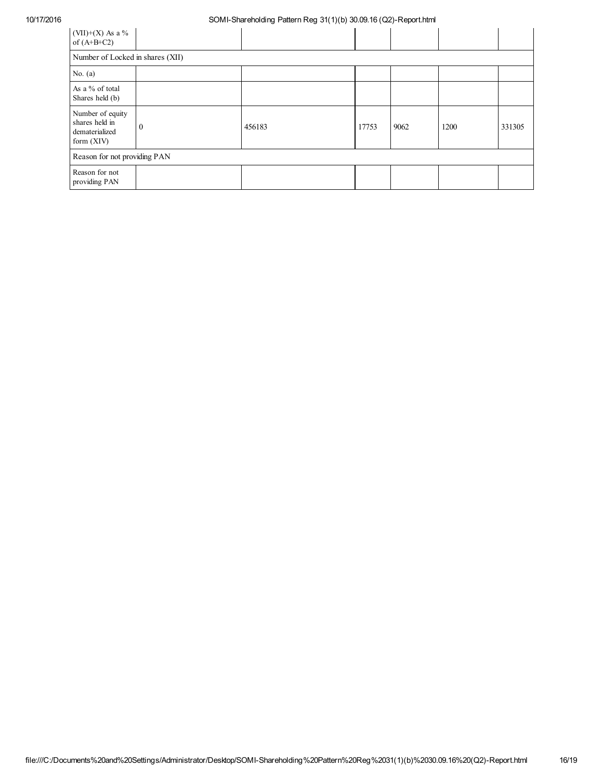| (VII)+(X) As a $%$<br>of $(A+B+C2)$                                  |              |        |       |      |      |        |
|----------------------------------------------------------------------|--------------|--------|-------|------|------|--------|
| Number of Locked in shares (XII)                                     |              |        |       |      |      |        |
| No. $(a)$                                                            |              |        |       |      |      |        |
| As a % of total<br>Shares held (b)                                   |              |        |       |      |      |        |
| Number of equity<br>shares held in<br>dematerialized<br>form $(XIV)$ | $\mathbf{0}$ | 456183 | 17753 | 9062 | 1200 | 331305 |
| Reason for not providing PAN                                         |              |        |       |      |      |        |
| Reason for not<br>providing PAN                                      |              |        |       |      |      |        |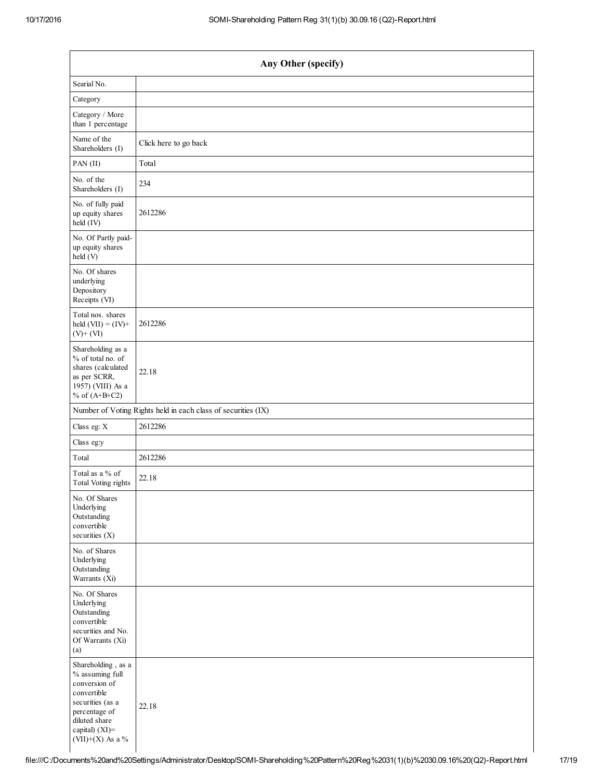| Any Other (specify)                                                                                                                                                  |                                                               |  |  |  |
|----------------------------------------------------------------------------------------------------------------------------------------------------------------------|---------------------------------------------------------------|--|--|--|
| Searial No.                                                                                                                                                          |                                                               |  |  |  |
| Category                                                                                                                                                             |                                                               |  |  |  |
| Category / More<br>than 1 percentage                                                                                                                                 |                                                               |  |  |  |
| Name of the<br>Shareholders (I)                                                                                                                                      | Click here to go back                                         |  |  |  |
| PAN(II)                                                                                                                                                              | Total                                                         |  |  |  |
| No. of the<br>Shareholders (I)                                                                                                                                       | 234                                                           |  |  |  |
| No. of fully paid<br>up equity shares<br>held (IV)                                                                                                                   | 2612286                                                       |  |  |  |
| No. Of Partly paid-<br>up equity shares<br>held (V)                                                                                                                  |                                                               |  |  |  |
| No. Of shares<br>underlying<br>Depository<br>Receipts (VI)                                                                                                           |                                                               |  |  |  |
| Total nos. shares<br>held $(VII) = (IV) +$<br>$(V)$ + $(VI)$                                                                                                         | 2612286                                                       |  |  |  |
| Shareholding as a<br>% of total no. of<br>shares (calculated<br>as per SCRR,<br>1957) (VIII) As a<br>% of $(A+B+C2)$                                                 | 22.18                                                         |  |  |  |
|                                                                                                                                                                      | Number of Voting Rights held in each class of securities (IX) |  |  |  |
| Class eg: X                                                                                                                                                          | 2612286                                                       |  |  |  |
| Class eg:y                                                                                                                                                           |                                                               |  |  |  |
| Total                                                                                                                                                                | 2612286                                                       |  |  |  |
| Total as a % of<br>Total Voting rights                                                                                                                               | 22.18                                                         |  |  |  |
| No. Of Shares<br>Underlying<br>Outstanding<br>convertible<br>securities (X)                                                                                          |                                                               |  |  |  |
| No. of Shares<br>Underlying<br>Outstanding<br>Warrants (Xi)                                                                                                          |                                                               |  |  |  |
| No. Of Shares<br>Underlying<br>Outstanding<br>convertible<br>securities and No.<br>Of Warrants (Xi)<br>(a)                                                           |                                                               |  |  |  |
| Shareholding, as a<br>% assuming full<br>conversion of<br>convertible<br>securities (as a<br>percentage of<br>diluted share<br>capital) (XI)=<br>(VII)+(X) As a $\%$ | 22.18                                                         |  |  |  |